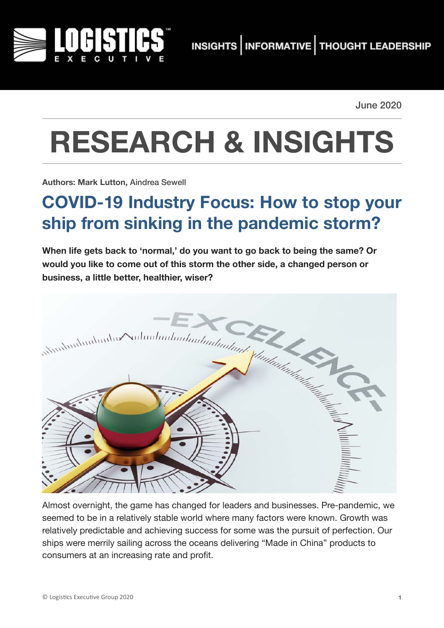

June 2020

# **RESEARCH & INSIGHTS**

**Authors: Mark Lutton,** Aindrea Sewell

# **COVID-19 Industry Focus: How to stop your ship from sinking in the pandemic storm?**

**When life gets back to 'normal,' do you want to go back to being the same? Or would you like to come out of this storm the other side, a changed person or** 



Almost overnight, the game has changed for leaders and businesses. Pre-pandemic, we seemed to be in a relatively stable world where many factors were known. Growth was relatively predictable and achieving success for some was the pursuit of perfection. Our ships were merrily sailing across the oceans delivering "Made in China" products to consumers at an increasing rate and profit.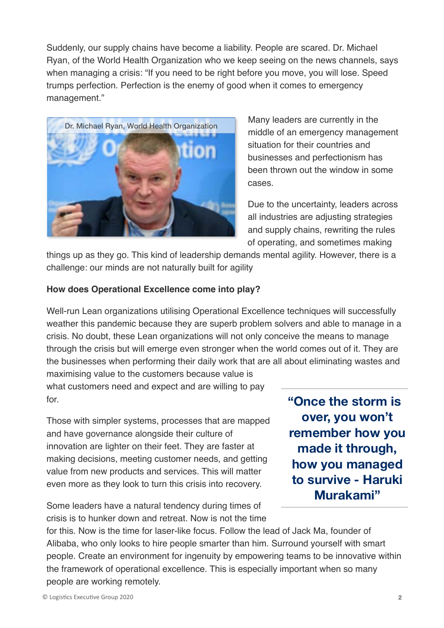Suddenly, our supply chains have become a liability. People are scared. Dr. Michael Ryan, of the World Health Organization who we keep seeing on the news channels, says when managing a crisis: "If you need to be right before you move, you will lose. Speed trumps perfection. Perfection is the enemy of good when it comes to emergency management."



Many leaders are currently in the middle of an emergency management situation for their countries and businesses and perfectionism has been thrown out the window in some cases.

Due to the uncertainty, leaders across all industries are adjusting strategies and supply chains, rewriting the rules of operating, and sometimes making

things up as they go. This kind of leadership demands mental agility. However, there is a challenge: our minds are not naturally built for agility

#### **How does Operational Excellence come into play?**

Well-run Lean organizations utilising Operational Excellence techniques will successfully weather this pandemic because they are superb problem solvers and able to manage in a crisis. No doubt, these Lean organizations will not only conceive the means to manage through the crisis but will emerge even stronger when the world comes out of it. They are the businesses when performing their daily work that are all about eliminating wastes and

maximising value to the customers because value is what customers need and expect and are willing to pay for.

Those with simpler systems, processes that are mapped and have governance alongside their culture of innovation are lighter on their feet. They are faster at making decisions, meeting customer needs, and getting value from new products and services. This will matter even more as they look to turn this crisis into recovery.

Some leaders have a natural tendency during times of crisis is to hunker down and retreat. Now is not the time **"Once the storm is over, you won't remember how you made it through, how you managed to survive - Haruki Murakami"**

for this. Now is the time for laser-like focus. Follow the lead of Jack Ma, founder of Alibaba, who only looks to hire people smarter than him. Surround yourself with smart people. Create an environment for ingenuity by empowering teams to be innovative within the framework of operational excellence. This is especially important when so many people are working remotely.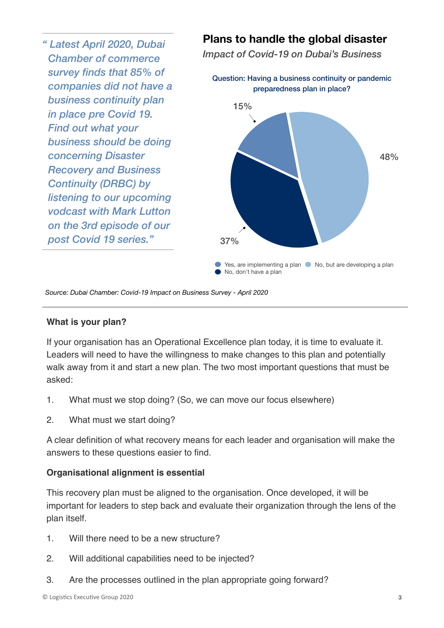*" Latest April 2020, Dubai Chamber of commerce survey finds that 85% of companies did not have a business continuity plan in place pre Covid 19. Find out what your business should be doing concerning Disaster Recovery and Business Continuity (DRBC) by listening to our upcoming vodcast with Mark Lutton on the 3rd episode of our post Covid 19 series."*

### **Plans to handle the global disaster**

*Impact of Covid-19 on Dubai's Business* 



*Source: Dubai Chamber: Covid-19 Impact on Business Survey - April 2020*

#### **What is your plan?**

If your organisation has an Operational Excellence plan today, it is time to evaluate it. Leaders will need to have the willingness to make changes to this plan and potentially walk away from it and start a new plan. The two most important questions that must be asked:

- 1. What must we stop doing? (So, we can move our focus elsewhere)
- 2. What must we start doing?

A clear definition of what recovery means for each leader and organisation will make the answers to these questions easier to find.

#### **Organisational alignment is essential**

This recovery plan must be aligned to the organisation. Once developed, it will be important for leaders to step back and evaluate their organization through the lens of the plan itself.

- 1. Will there need to be a new structure?
- 2. Will additional capabilities need to be injected?
- 3. Are the processes outlined in the plan appropriate going forward?